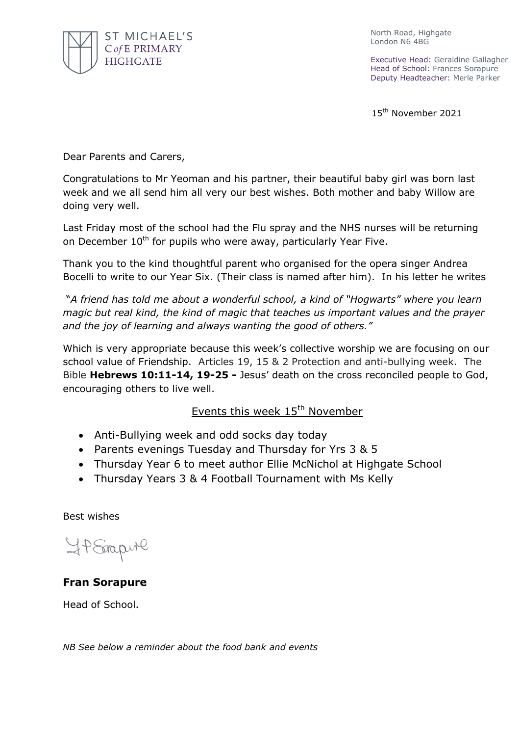

North Road, Highgate London N6 4BG

Executive Head: Geraldine Gallagher Head of School: Frances Sorapure Deputy Headteacher: Merle Parker

15<sup>th</sup> November 2021

Dear Parents and Carers,

Congratulations to Mr Yeoman and his partner, their beautiful baby girl was born last week and we all send him all very our best wishes. Both mother and baby Willow are doing very well.

Last Friday most of the school had the Flu spray and the NHS nurses will be returning on December  $10<sup>th</sup>$  for pupils who were away, particularly Year Five.

Thank you to the kind thoughtful parent who organised for the opera singer Andrea Bocelli to write to our Year Six. (Their class is named after him). In his letter he writes

"*A friend has told me about a wonderful school, a kind of "Hogwarts" where you learn magic but real kind, the kind of magic that teaches us important values and the prayer and the joy of learning and always wanting the good of others."* 

Which is very appropriate because this week's collective worship we are focusing on our school value of Friendship. Articles 19, 15 & 2 Protection and anti-bullying week. The Bible **Hebrews 10:11-14, 19-25 -** Jesus' death on the cross reconciled people to God, encouraging others to live well.

## Events this week 15<sup>th</sup> November

- Anti-Bullying week and odd socks day today
- Parents evenings Tuesday and Thursday for Yrs 3 & 5
- Thursday Year 6 to meet author Ellie McNichol at Highgate School
- Thursday Years 3 & 4 Football Tournament with Ms Kelly

Best wishes

HP Stapul

## **Fran Sorapure**

Head of School.

*NB See below a reminder about the food bank and events*